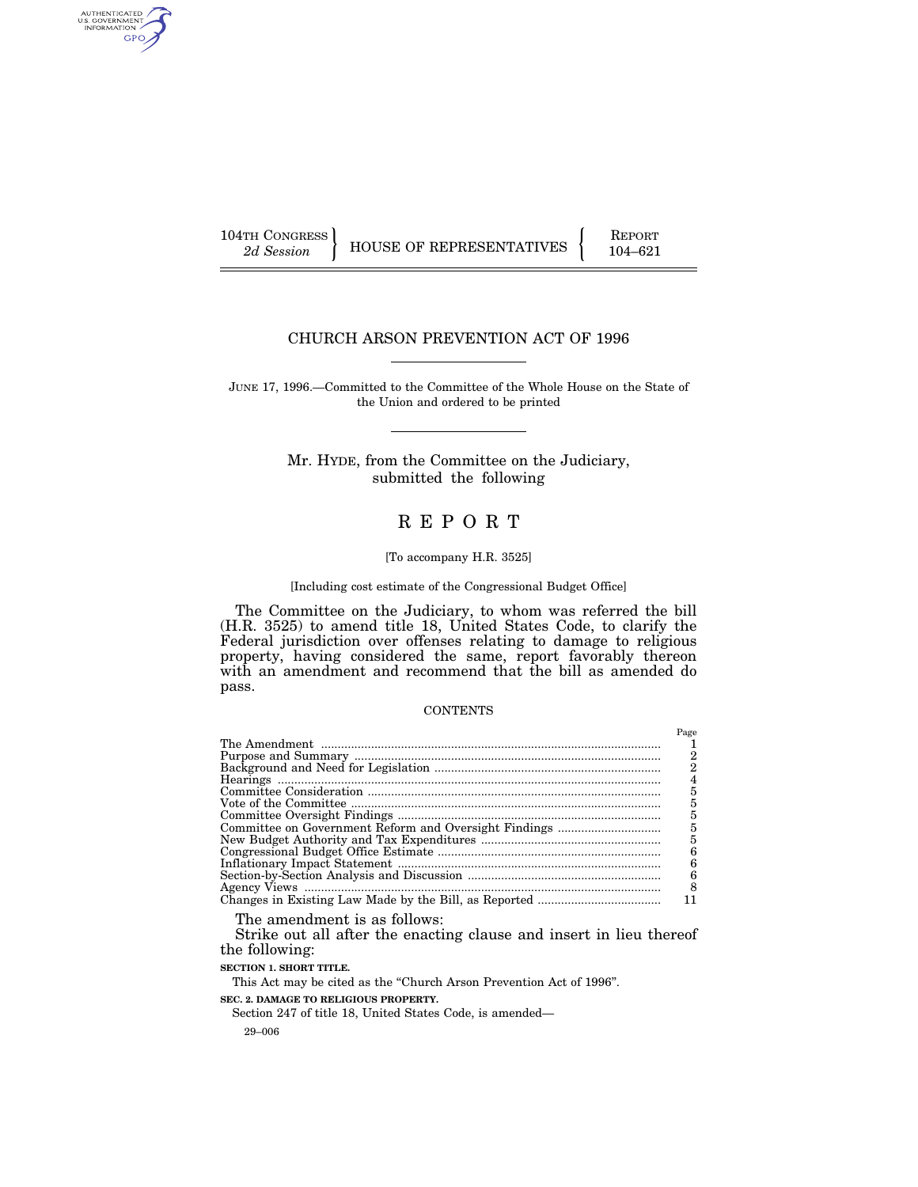AUTHENTICATED<br>U.S. GOVERNMENT<br>INFORMATION GPO

104TH CONGRESS HOUSE OF REPRESENTATIVES **REPORT** 104–621

# CHURCH ARSON PREVENTION ACT OF 1996

JUNE 17, 1996.—Committed to the Committee of the Whole House on the State of the Union and ordered to be printed

> Mr. HYDE, from the Committee on the Judiciary, submitted the following

# R E P O R T

#### [To accompany H.R. 3525]

# [Including cost estimate of the Congressional Budget Office]

The Committee on the Judiciary, to whom was referred the bill (H.R. 3525) to amend title 18, United States Code, to clarify the Federal jurisdiction over offenses relating to damage to religious property, having considered the same, report favorably thereon with an amendment and recommend that the bill as amended do pass.

#### **CONTENTS**

| Page |
|------|
|      |
|      |
|      |
|      |
|      |
|      |
|      |
|      |
|      |
| 6    |
|      |
| 6    |
| 8    |
|      |
|      |

The amendment is as follows:

Strike out all after the enacting clause and insert in lieu thereof the following:

**SECTION 1. SHORT TITLE.**

This Act may be cited as the "Church Arson Prevention Act of 1996". **SEC. 2. DAMAGE TO RELIGIOUS PROPERTY.** Section 247 of title 18, United States Code, is amended—

29–006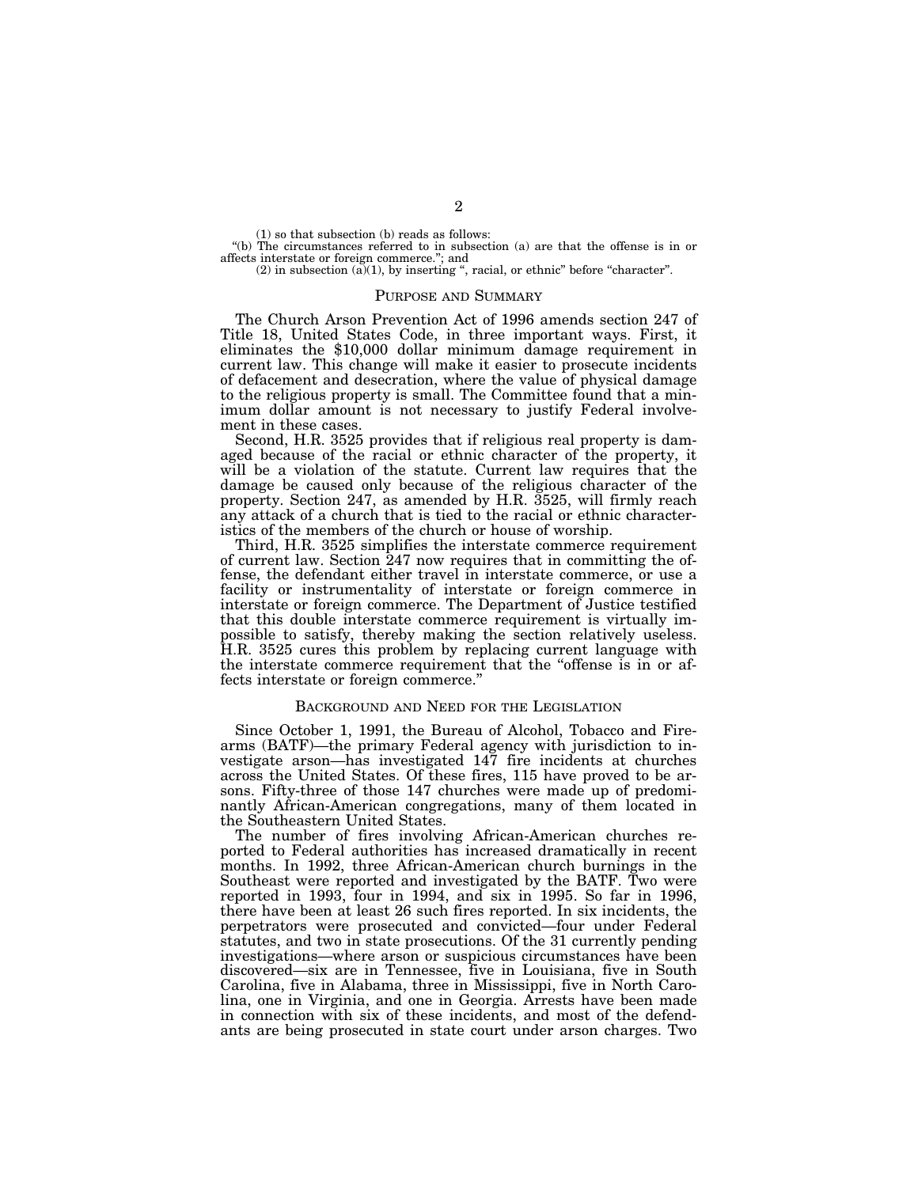(1) so that subsection (b) reads as follows:

''(b) The circumstances referred to in subsection (a) are that the offense is in or affects interstate or foreign commerce.''; and

 $(2)$  in subsection  $(\tilde{a})(1)$ , by inserting ", racial, or ethnic" before "character".

#### PURPOSE AND SUMMARY

The Church Arson Prevention Act of 1996 amends section 247 of Title 18, United States Code, in three important ways. First, it eliminates the \$10,000 dollar minimum damage requirement in current law. This change will make it easier to prosecute incidents of defacement and desecration, where the value of physical damage to the religious property is small. The Committee found that a minimum dollar amount is not necessary to justify Federal involvement in these cases.

Second, H.R. 3525 provides that if religious real property is damaged because of the racial or ethnic character of the property, it will be a violation of the statute. Current law requires that the damage be caused only because of the religious character of the property. Section 247, as amended by H.R. 3525, will firmly reach any attack of a church that is tied to the racial or ethnic characteristics of the members of the church or house of worship.

Third, H.R. 3525 simplifies the interstate commerce requirement of current law. Section 247 now requires that in committing the offense, the defendant either travel in interstate commerce, or use a facility or instrumentality of interstate or foreign commerce in interstate or foreign commerce. The Department of Justice testified that this double interstate commerce requirement is virtually impossible to satisfy, thereby making the section relatively useless. H.R. 3525 cures this problem by replacing current language with the interstate commerce requirement that the ''offense is in or affects interstate or foreign commerce.''

#### BACKGROUND AND NEED FOR THE LEGISLATION

Since October 1, 1991, the Bureau of Alcohol, Tobacco and Firearms (BATF)—the primary Federal agency with jurisdiction to investigate arson—has investigated 147 fire incidents at churches across the United States. Of these fires, 115 have proved to be arsons. Fifty-three of those 147 churches were made up of predominantly African-American congregations, many of them located in the Southeastern United States.

The number of fires involving African-American churches reported to Federal authorities has increased dramatically in recent months. In 1992, three African-American church burnings in the Southeast were reported and investigated by the BATF. Two were reported in 1993, four in 1994, and six in 1995. So far in 1996, there have been at least 26 such fires reported. In six incidents, the perpetrators were prosecuted and convicted—four under Federal statutes, and two in state prosecutions. Of the 31 currently pending investigations—where arson or suspicious circumstances have been discovered—six are in Tennessee, five in Louisiana, five in South Carolina, five in Alabama, three in Mississippi, five in North Carolina, one in Virginia, and one in Georgia. Arrests have been made in connection with six of these incidents, and most of the defendants are being prosecuted in state court under arson charges. Two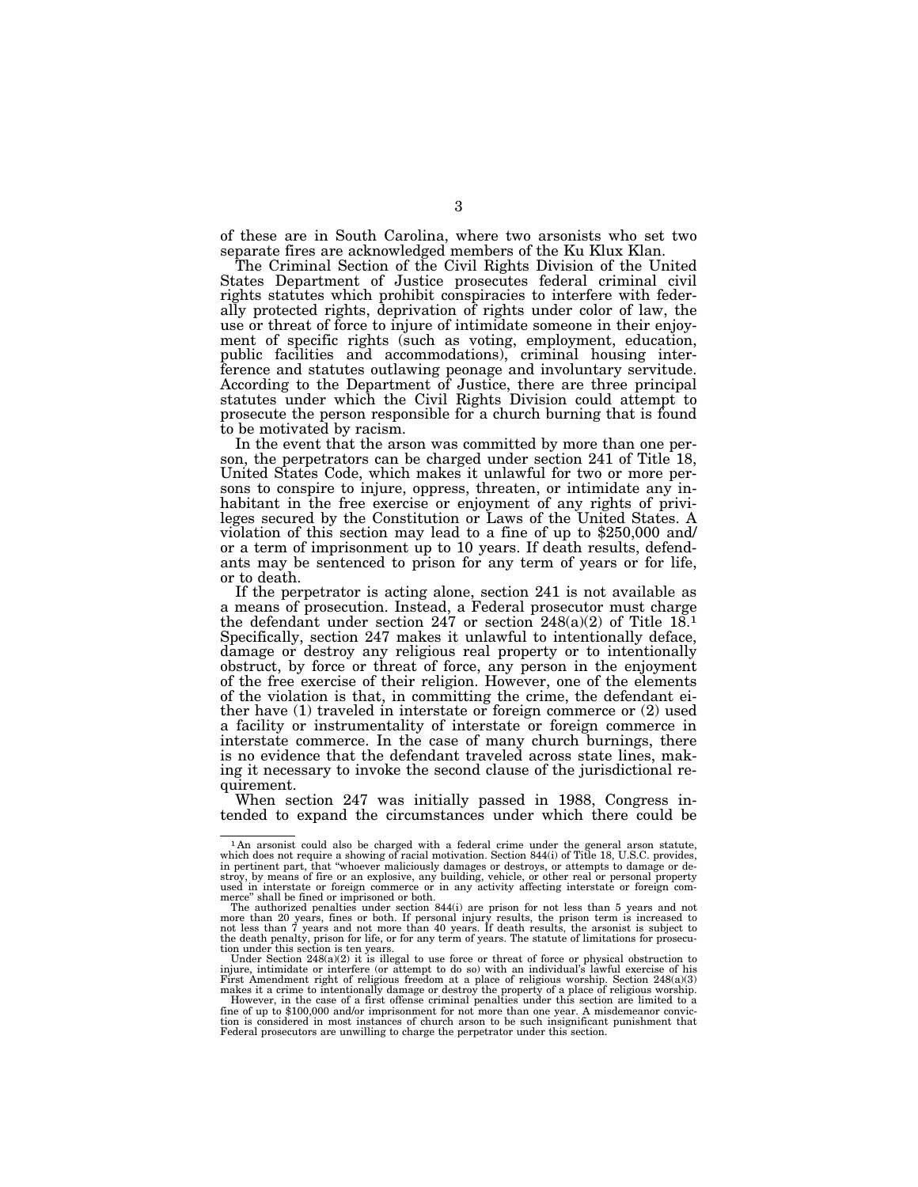of these are in South Carolina, where two arsonists who set two separate fires are acknowledged members of the Ku Klux Klan.

The Criminal Section of the Civil Rights Division of the United States Department of Justice prosecutes federal criminal civil rights statutes which prohibit conspiracies to interfere with federally protected rights, deprivation of rights under color of law, the use or threat of force to injure of intimidate someone in their enjoyment of specific rights (such as voting, employment, education, public facilities and accommodations), criminal housing interference and statutes outlawing peonage and involuntary servitude. According to the Department of Justice, there are three principal statutes under which the Civil Rights Division could attempt to prosecute the person responsible for a church burning that is found to be motivated by racism.

In the event that the arson was committed by more than one person, the perpetrators can be charged under section 241 of Title 18, United States Code, which makes it unlawful for two or more persons to conspire to injure, oppress, threaten, or intimidate any inhabitant in the free exercise or enjoyment of any rights of privileges secured by the Constitution or Laws of the United States. A violation of this section may lead to a fine of up to \$250,000 and/ or a term of imprisonment up to 10 years. If death results, defendants may be sentenced to prison for any term of years or for life, or to death.

If the perpetrator is acting alone, section 241 is not available as a means of prosecution. Instead, a Federal prosecutor must charge the defendant under section 247 or section 248(a)(2) of Title  $18.1$ Specifically, section 247 makes it unlawful to intentionally deface, damage or destroy any religious real property or to intentionally obstruct, by force or threat of force, any person in the enjoyment of the free exercise of their religion. However, one of the elements of the violation is that, in committing the crime, the defendant either have (1) traveled in interstate or foreign commerce or (2) used a facility or instrumentality of interstate or foreign commerce in interstate commerce. In the case of many church burnings, there is no evidence that the defendant traveled across state lines, making it necessary to invoke the second clause of the jurisdictional requirement.

When section 247 was initially passed in 1988, Congress intended to expand the circumstances under which there could be

 $1$ An arsonist could also be charged with a federal crime under the general arson statute, which does not require a showing of racial motivation. Section 844(i) of Title 18, U.S.C. provides, in pertinent part, that "whoev stroy, by means of fire or an explosive, any building, vehicle, or other real or personal property used in interstate or foreign commerce or in any activity affecting interstate or foreign commerce'' shall be fined or imprisoned or both.

The authorized penalties under section 844(i) are prison for not less than 5 years and not<br>more than 20 years, fines or both. If personal injury results, the prison term is increased to<br>not less than 7 years and not more t

Under Section 248(a)(2) it is illegal to use force or threat of force or physical obstruction to injure, intimidate or interfere (or attempt to do so) with an individual's lawful exercise of his

First Amendment right of religious freedom at a place of religious worship. Section  $248(a)(3)$  makes it a crime to intentionally damage or destroy the property of a place of religious worship. However, in the case of a fir fine of up to \$100,000 and/or imprisonment for not more than one year. A misdemeanor conviction is considered in most instances of church arson to be such insignificant punishment that Federal prosecutors are unwilling to charge the perpetrator under this section.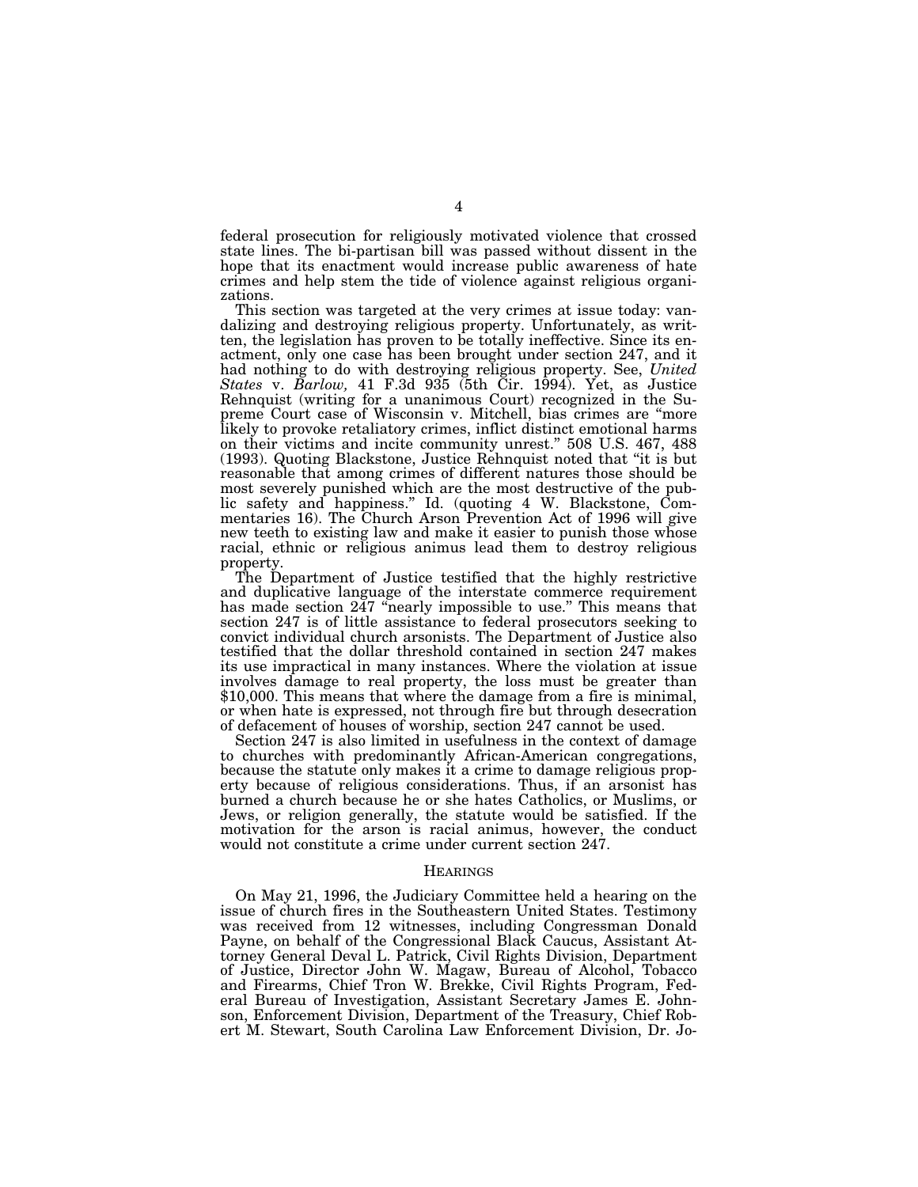federal prosecution for religiously motivated violence that crossed state lines. The bi-partisan bill was passed without dissent in the hope that its enactment would increase public awareness of hate crimes and help stem the tide of violence against religious organizations.

This section was targeted at the very crimes at issue today: vandalizing and destroying religious property. Unfortunately, as written, the legislation has proven to be totally ineffective. Since its enactment, only one case has been brought under section 247, and it had nothing to do with destroying religious property. See, *United States* v. *Barlow,* 41 F.3d 935 (5th Cir. 1994). Yet, as Justice Rehnquist (writing for a unanimous Court) recognized in the Supreme Court case of Wisconsin v. Mitchell, bias crimes are "more likely to provoke retaliatory crimes, inflict distinct emotional harms on their victims and incite community unrest.'' 508 U.S. 467, 488 (1993). Quoting Blackstone, Justice Rehnquist noted that ''it is but reasonable that among crimes of different natures those should be most severely punished which are the most destructive of the public safety and happiness.'' Id. (quoting 4 W. Blackstone, Commentaries 16). The Church Arson Prevention Act of 1996 will give new teeth to existing law and make it easier to punish those whose racial, ethnic or religious animus lead them to destroy religious property.

The Department of Justice testified that the highly restrictive and duplicative language of the interstate commerce requirement has made section 247 "nearly impossible to use." This means that section 247 is of little assistance to federal prosecutors seeking to convict individual church arsonists. The Department of Justice also testified that the dollar threshold contained in section 247 makes its use impractical in many instances. Where the violation at issue involves damage to real property, the loss must be greater than \$10,000. This means that where the damage from a fire is minimal, or when hate is expressed, not through fire but through desecration of defacement of houses of worship, section 247 cannot be used.

Section 247 is also limited in usefulness in the context of damage to churches with predominantly African-American congregations, because the statute only makes it a crime to damage religious property because of religious considerations. Thus, if an arsonist has burned a church because he or she hates Catholics, or Muslims, or Jews, or religion generally, the statute would be satisfied. If the motivation for the arson is racial animus, however, the conduct would not constitute a crime under current section 247.

#### **HEARINGS**

On May 21, 1996, the Judiciary Committee held a hearing on the issue of church fires in the Southeastern United States. Testimony was received from 12 witnesses, including Congressman Donald Payne, on behalf of the Congressional Black Caucus, Assistant Attorney General Deval L. Patrick, Civil Rights Division, Department of Justice, Director John W. Magaw, Bureau of Alcohol, Tobacco and Firearms, Chief Tron W. Brekke, Civil Rights Program, Federal Bureau of Investigation, Assistant Secretary James E. Johnson, Enforcement Division, Department of the Treasury, Chief Robert M. Stewart, South Carolina Law Enforcement Division, Dr. Jo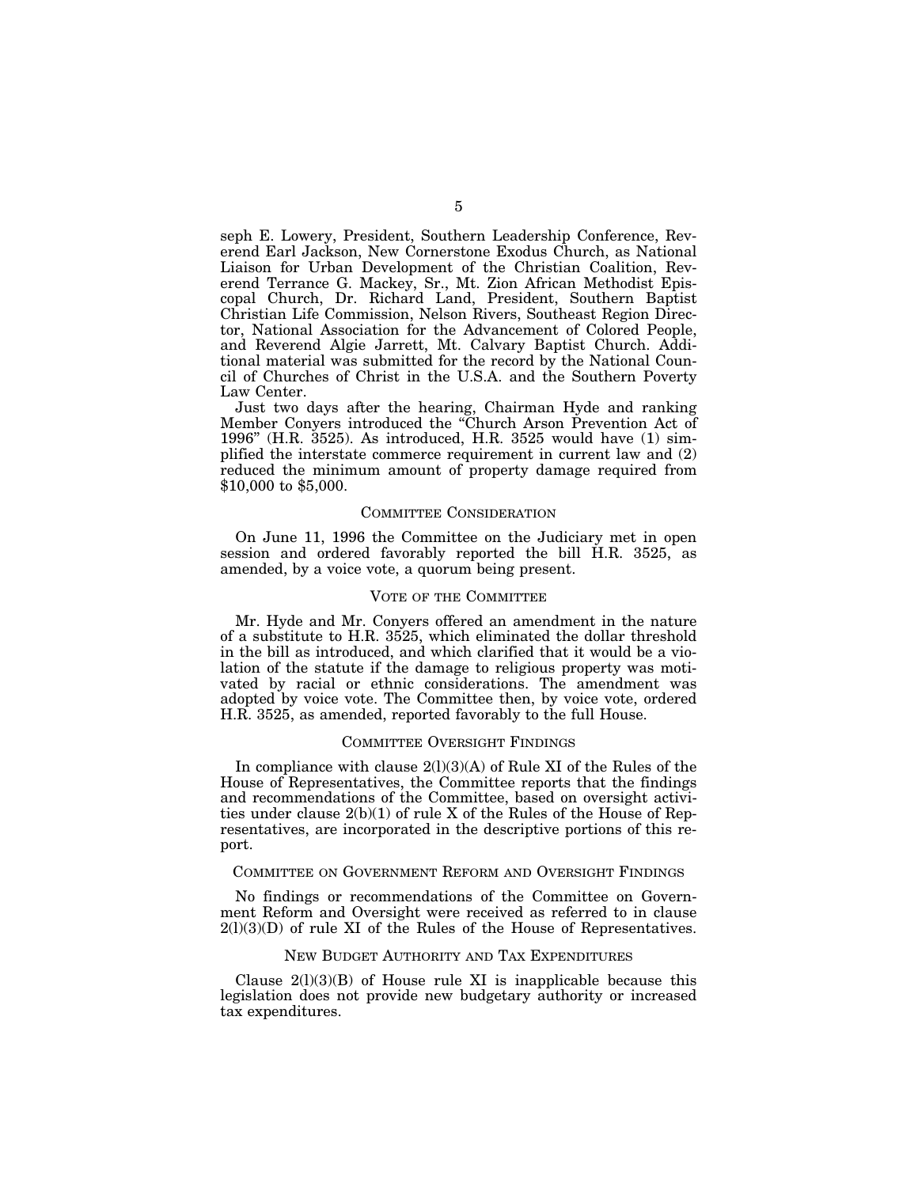seph E. Lowery, President, Southern Leadership Conference, Reverend Earl Jackson, New Cornerstone Exodus Church, as National Liaison for Urban Development of the Christian Coalition, Reverend Terrance G. Mackey, Sr., Mt. Zion African Methodist Episcopal Church, Dr. Richard Land, President, Southern Baptist Christian Life Commission, Nelson Rivers, Southeast Region Director, National Association for the Advancement of Colored People, and Reverend Algie Jarrett, Mt. Calvary Baptist Church. Additional material was submitted for the record by the National Council of Churches of Christ in the U.S.A. and the Southern Poverty Law Center.

Just two days after the hearing, Chairman Hyde and ranking Member Conyers introduced the ''Church Arson Prevention Act of 1996'' (H.R. 3525). As introduced, H.R. 3525 would have (1) simplified the interstate commerce requirement in current law and (2) reduced the minimum amount of property damage required from \$10,000 to \$5,000.

#### COMMITTEE CONSIDERATION

On June 11, 1996 the Committee on the Judiciary met in open session and ordered favorably reported the bill H.R. 3525, as amended, by a voice vote, a quorum being present.

#### VOTE OF THE COMMITTEE

Mr. Hyde and Mr. Conyers offered an amendment in the nature of a substitute to H.R. 3525, which eliminated the dollar threshold in the bill as introduced, and which clarified that it would be a violation of the statute if the damage to religious property was motivated by racial or ethnic considerations. The amendment was adopted by voice vote. The Committee then, by voice vote, ordered H.R. 3525, as amended, reported favorably to the full House.

# COMMITTEE OVERSIGHT FINDINGS

In compliance with clause  $2(1)(3)(A)$  of Rule XI of the Rules of the House of Representatives, the Committee reports that the findings and recommendations of the Committee, based on oversight activities under clause 2(b)(1) of rule X of the Rules of the House of Representatives, are incorporated in the descriptive portions of this report.

# COMMITTEE ON GOVERNMENT REFORM AND OVERSIGHT FINDINGS

No findings or recommendations of the Committee on Government Reform and Oversight were received as referred to in clause  $2(1)(3)(D)$  of rule XI of the Rules of the House of Representatives.

# NEW BUDGET AUTHORITY AND TAX EXPENDITURES

Clause  $2(1)(3)(B)$  of House rule XI is inapplicable because this legislation does not provide new budgetary authority or increased tax expenditures.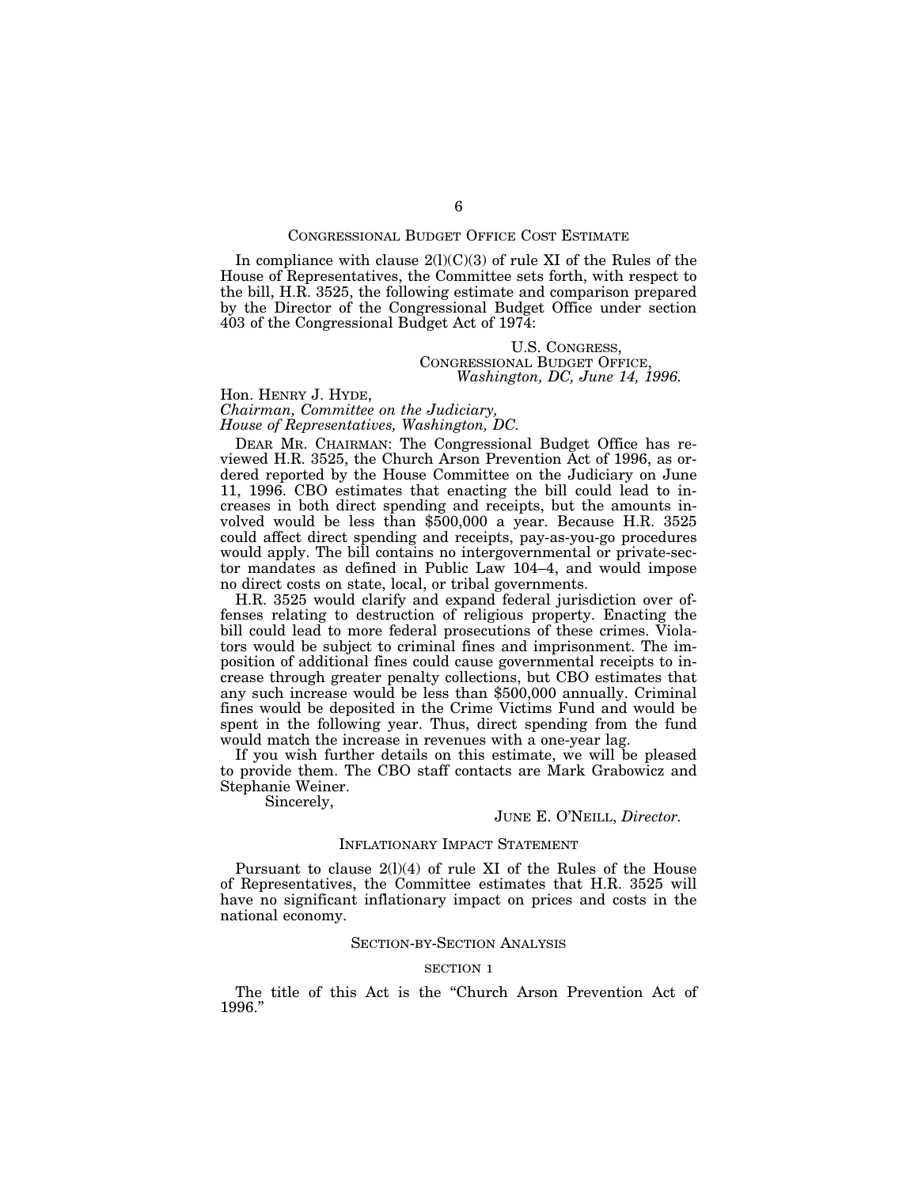#### CONGRESSIONAL BUDGET OFFICE COST ESTIMATE

In compliance with clause  $2(l)(C)(3)$  of rule XI of the Rules of the House of Representatives, the Committee sets forth, with respect to the bill, H.R. 3525, the following estimate and comparison prepared by the Director of the Congressional Budget Office under section 403 of the Congressional Budget Act of 1974:

# U.S. CONGRESS, CONGRESSIONAL BUDGET OFFICE, *Washington, DC, June 14, 1996.*

# Hon. HENRY J. HYDE,

*Chairman, Committee on the Judiciary, House of Representatives, Washington, DC.*

DEAR MR. CHAIRMAN: The Congressional Budget Office has reviewed H.R. 3525, the Church Arson Prevention Act of 1996, as ordered reported by the House Committee on the Judiciary on June 11, 1996. CBO estimates that enacting the bill could lead to increases in both direct spending and receipts, but the amounts involved would be less than \$500,000 a year. Because H.R. 3525 could affect direct spending and receipts, pay-as-you-go procedures would apply. The bill contains no intergovernmental or private-sector mandates as defined in Public Law 104–4, and would impose no direct costs on state, local, or tribal governments.

H.R. 3525 would clarify and expand federal jurisdiction over offenses relating to destruction of religious property. Enacting the bill could lead to more federal prosecutions of these crimes. Violators would be subject to criminal fines and imprisonment. The imposition of additional fines could cause governmental receipts to increase through greater penalty collections, but CBO estimates that any such increase would be less than \$500,000 annually. Criminal fines would be deposited in the Crime Victims Fund and would be spent in the following year. Thus, direct spending from the fund would match the increase in revenues with a one-year lag.

If you wish further details on this estimate, we will be pleased to provide them. The CBO staff contacts are Mark Grabowicz and Stephanie Weiner.

Sincerely,

# JUNE E. O'NEILL, *Director.*

#### INFLATIONARY IMPACT STATEMENT

Pursuant to clause 2(l)(4) of rule XI of the Rules of the House of Representatives, the Committee estimates that H.R. 3525 will have no significant inflationary impact on prices and costs in the national economy.

# SECTION-BY-SECTION ANALYSIS

#### SECTION 1

The title of this Act is the "Church Arson Prevention Act of 1996.''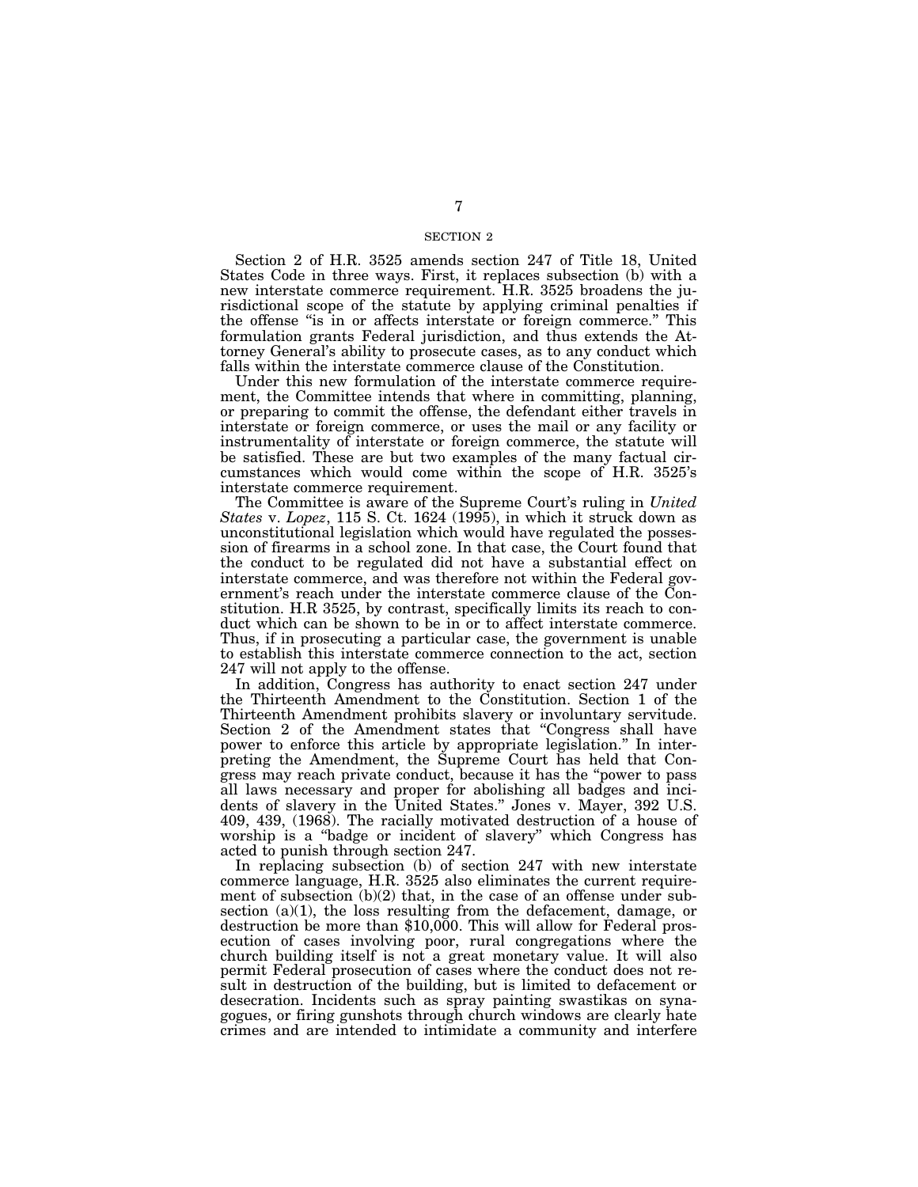#### SECTION 2

Section 2 of H.R. 3525 amends section 247 of Title 18, United States Code in three ways. First, it replaces subsection (b) with a new interstate commerce requirement. H.R. 3525 broadens the jurisdictional scope of the statute by applying criminal penalties if the offense ''is in or affects interstate or foreign commerce.'' This formulation grants Federal jurisdiction, and thus extends the Attorney General's ability to prosecute cases, as to any conduct which falls within the interstate commerce clause of the Constitution.

Under this new formulation of the interstate commerce requirement, the Committee intends that where in committing, planning, or preparing to commit the offense, the defendant either travels in interstate or foreign commerce, or uses the mail or any facility or instrumentality of interstate or foreign commerce, the statute will be satisfied. These are but two examples of the many factual circumstances which would come within the scope of H.R. 3525's interstate commerce requirement.

The Committee is aware of the Supreme Court's ruling in *United States* v. *Lopez*, 115 S. Ct. 1624 (1995), in which it struck down as unconstitutional legislation which would have regulated the possession of firearms in a school zone. In that case, the Court found that the conduct to be regulated did not have a substantial effect on interstate commerce, and was therefore not within the Federal government's reach under the interstate commerce clause of the Constitution. H.R 3525, by contrast, specifically limits its reach to conduct which can be shown to be in or to affect interstate commerce. Thus, if in prosecuting a particular case, the government is unable to establish this interstate commerce connection to the act, section 247 will not apply to the offense.

In addition, Congress has authority to enact section 247 under the Thirteenth Amendment to the Constitution. Section 1 of the Thirteenth Amendment prohibits slavery or involuntary servitude. Section 2 of the Amendment states that ''Congress shall have power to enforce this article by appropriate legislation.'' In interpreting the Amendment, the Supreme Court has held that Congress may reach private conduct, because it has the ''power to pass all laws necessary and proper for abolishing all badges and incidents of slavery in the United States.'' Jones v. Mayer, 392 U.S. 409, 439, (1968). The racially motivated destruction of a house of worship is a ''badge or incident of slavery'' which Congress has acted to punish through section 247.

In replacing subsection (b) of section 247 with new interstate commerce language, H.R. 3525 also eliminates the current requirement of subsection  $(b)(2)$  that, in the case of an offense under subsection (a)(1), the loss resulting from the defacement, damage, or destruction be more than \$10,000. This will allow for Federal prosecution of cases involving poor, rural congregations where the church building itself is not a great monetary value. It will also permit Federal prosecution of cases where the conduct does not result in destruction of the building, but is limited to defacement or desecration. Incidents such as spray painting swastikas on synagogues, or firing gunshots through church windows are clearly hate crimes and are intended to intimidate a community and interfere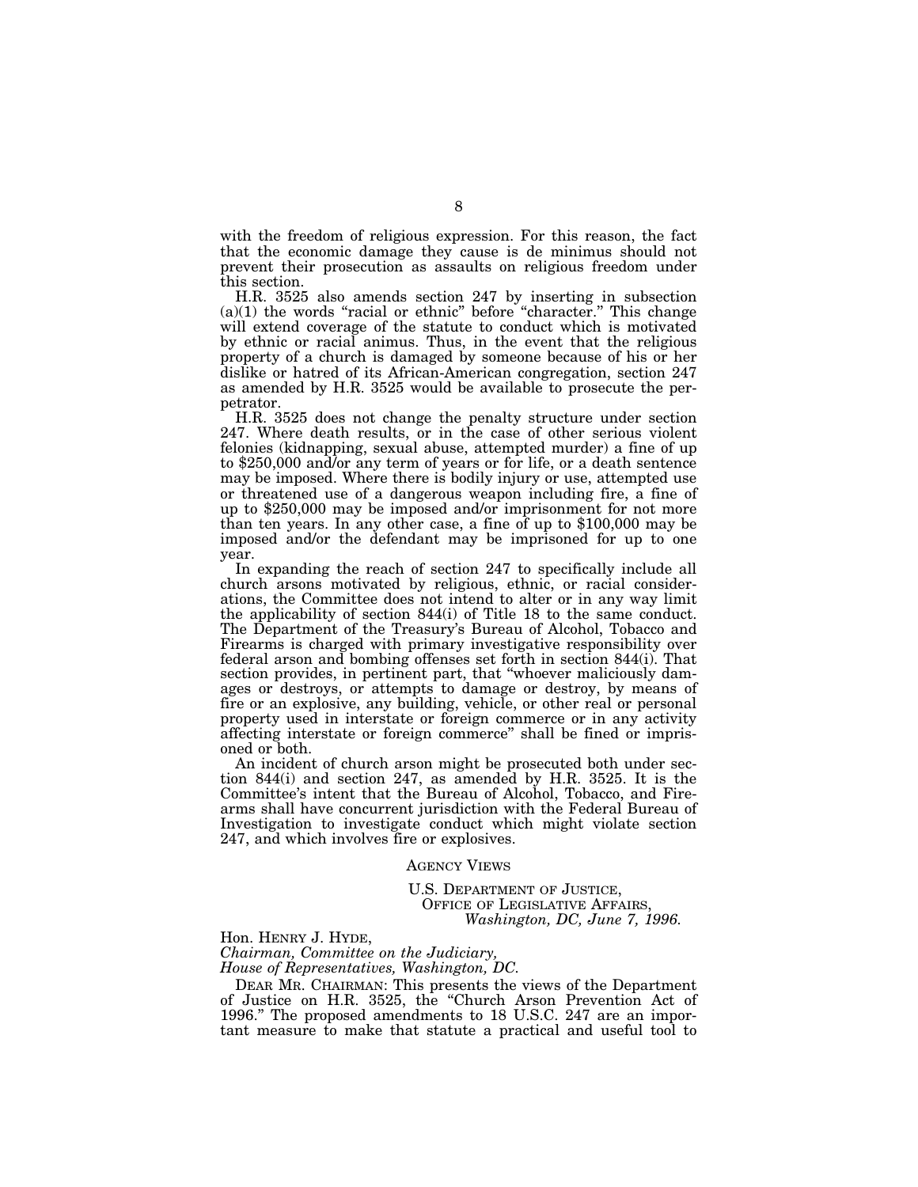with the freedom of religious expression. For this reason, the fact that the economic damage they cause is de minimus should not prevent their prosecution as assaults on religious freedom under this section.

H.R. 3525 also amends section 247 by inserting in subsection  $(a)(1)$  the words "racial or ethnic" before "character." This change will extend coverage of the statute to conduct which is motivated by ethnic or racial animus. Thus, in the event that the religious property of a church is damaged by someone because of his or her dislike or hatred of its African-American congregation, section 247 as amended by H.R. 3525 would be available to prosecute the perpetrator.

H.R. 3525 does not change the penalty structure under section 247. Where death results, or in the case of other serious violent felonies (kidnapping, sexual abuse, attempted murder) a fine of up to \$250,000 and/or any term of years or for life, or a death sentence may be imposed. Where there is bodily injury or use, attempted use or threatened use of a dangerous weapon including fire, a fine of up to \$250,000 may be imposed and/or imprisonment for not more than ten years. In any other case, a fine of up to \$100,000 may be imposed and/or the defendant may be imprisoned for up to one year.

In expanding the reach of section 247 to specifically include all church arsons motivated by religious, ethnic, or racial considerations, the Committee does not intend to alter or in any way limit the applicability of section 844(i) of Title 18 to the same conduct. The Department of the Treasury's Bureau of Alcohol, Tobacco and Firearms is charged with primary investigative responsibility over federal arson and bombing offenses set forth in section 844(i). That section provides, in pertinent part, that ''whoever maliciously damages or destroys, or attempts to damage or destroy, by means of fire or an explosive, any building, vehicle, or other real or personal property used in interstate or foreign commerce or in any activity affecting interstate or foreign commerce'' shall be fined or imprisoned or both.

An incident of church arson might be prosecuted both under section 844(i) and section 247, as amended by H.R. 3525. It is the Committee's intent that the Bureau of Alcohol, Tobacco, and Firearms shall have concurrent jurisdiction with the Federal Bureau of Investigation to investigate conduct which might violate section 247, and which involves fire or explosives.

AGENCY VIEWS

U.S. DEPARTMENT OF JUSTICE, OFFICE OF LEGISLATIVE AFFAIRS, *Washington, DC, June 7, 1996.*

Hon. HENRY J. HYDE, *Chairman, Committee on the Judiciary, House of Representatives, Washington, DC.*

DEAR MR. CHAIRMAN: This presents the views of the Department of Justice on H.R. 3525, the ''Church Arson Prevention Act of 1996.'' The proposed amendments to 18 U.S.C. 247 are an important measure to make that statute a practical and useful tool to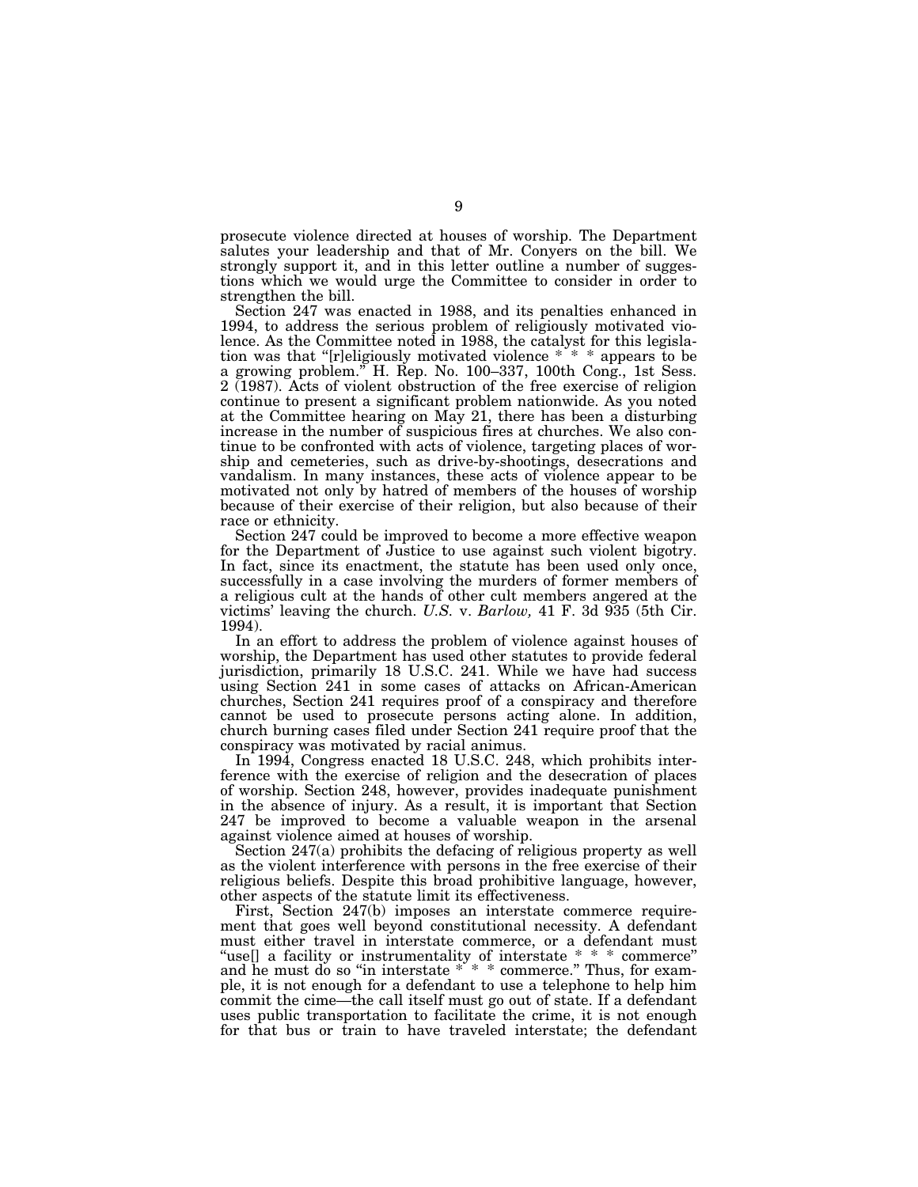prosecute violence directed at houses of worship. The Department salutes your leadership and that of Mr. Conyers on the bill. We strongly support it, and in this letter outline a number of suggestions which we would urge the Committee to consider in order to strengthen the bill.

Section 247 was enacted in 1988, and its penalties enhanced in 1994, to address the serious problem of religiously motivated violence. As the Committee noted in 1988, the catalyst for this legislation was that ''[r]eligiously motivated violence \* \* \* appears to be a growing problem.'' H. Rep. No. 100–337, 100th Cong., 1st Sess. 2 (1987). Acts of violent obstruction of the free exercise of religion continue to present a significant problem nationwide. As you noted at the Committee hearing on May 21, there has been a disturbing increase in the number of suspicious fires at churches. We also continue to be confronted with acts of violence, targeting places of worship and cemeteries, such as drive-by-shootings, desecrations and vandalism. In many instances, these acts of violence appear to be motivated not only by hatred of members of the houses of worship because of their exercise of their religion, but also because of their race or ethnicity.

Section 247 could be improved to become a more effective weapon for the Department of Justice to use against such violent bigotry. In fact, since its enactment, the statute has been used only once, successfully in a case involving the murders of former members of a religious cult at the hands of other cult members angered at the victims' leaving the church. *U.S.* v. *Barlow,* 41 F. 3d 935 (5th Cir. 1994).

In an effort to address the problem of violence against houses of worship, the Department has used other statutes to provide federal jurisdiction, primarily 18 U.S.C. 241. While we have had success using Section 241 in some cases of attacks on African-American churches, Section 241 requires proof of a conspiracy and therefore cannot be used to prosecute persons acting alone. In addition, church burning cases filed under Section 241 require proof that the conspiracy was motivated by racial animus.

In 1994, Congress enacted 18 U.S.C. 248, which prohibits interference with the exercise of religion and the desecration of places of worship. Section 248, however, provides inadequate punishment in the absence of injury. As a result, it is important that Section 247 be improved to become a valuable weapon in the arsenal against violence aimed at houses of worship.

Section 247(a) prohibits the defacing of religious property as well as the violent interference with persons in the free exercise of their religious beliefs. Despite this broad prohibitive language, however, other aspects of the statute limit its effectiveness.

First, Section 247(b) imposes an interstate commerce requirement that goes well beyond constitutional necessity. A defendant must either travel in interstate commerce, or a defendant must "use[] a facility or instrumentality of interstate \* \* \* commerce" and he must do so ''in interstate \* \* \* commerce.'' Thus, for example, it is not enough for a defendant to use a telephone to help him commit the cime—the call itself must go out of state. If a defendant uses public transportation to facilitate the crime, it is not enough for that bus or train to have traveled interstate; the defendant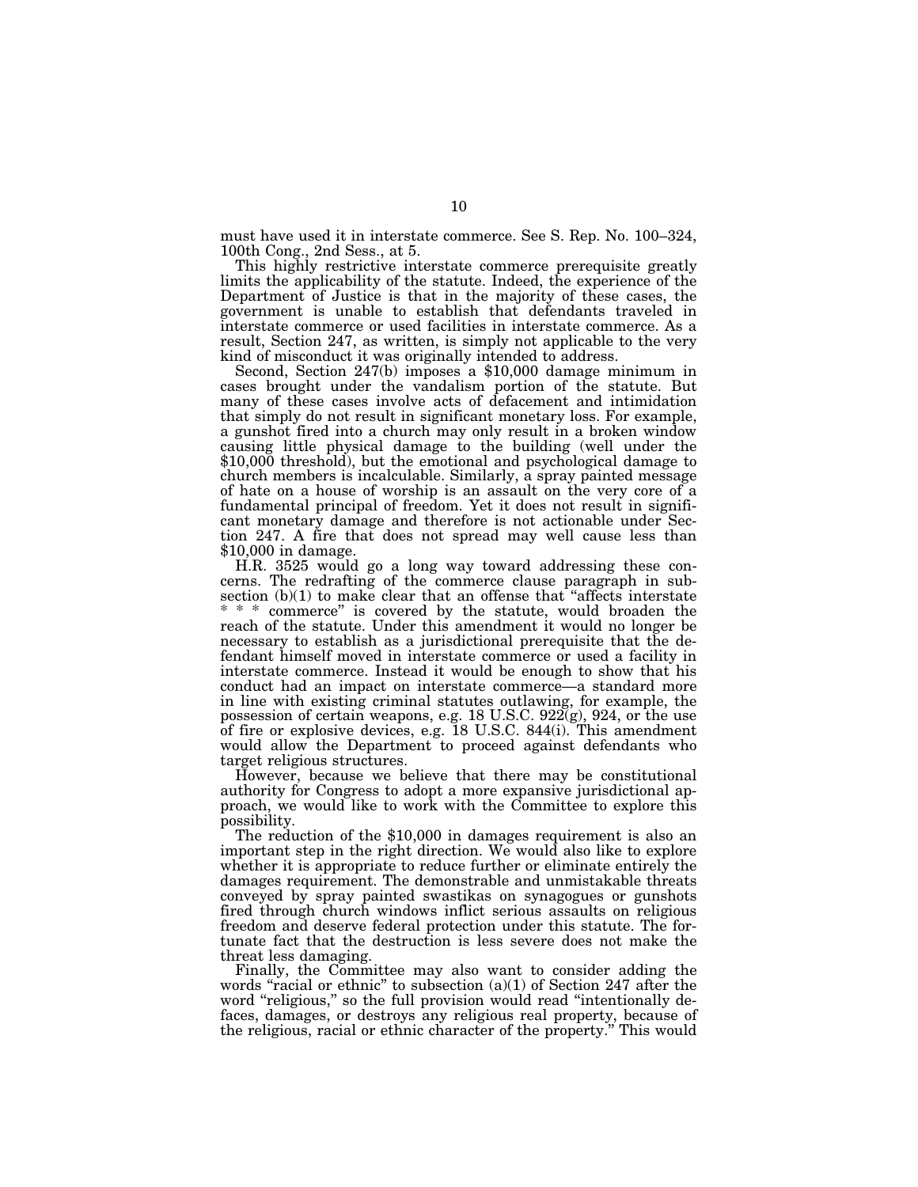must have used it in interstate commerce. See S. Rep. No. 100–324, 100th Cong., 2nd Sess., at 5.

This highly restrictive interstate commerce prerequisite greatly limits the applicability of the statute. Indeed, the experience of the Department of Justice is that in the majority of these cases, the government is unable to establish that defendants traveled in interstate commerce or used facilities in interstate commerce. As a result, Section 247, as written, is simply not applicable to the very kind of misconduct it was originally intended to address.

Second, Section  $247(b)$  imposes a \$10,000 damage minimum in cases brought under the vandalism portion of the statute. But many of these cases involve acts of defacement and intimidation that simply do not result in significant monetary loss. For example, a gunshot fired into a church may only result in a broken window causing little physical damage to the building (well under the \$10,000 threshold), but the emotional and psychological damage to church members is incalculable. Similarly, a spray painted message of hate on a house of worship is an assault on the very core of a fundamental principal of freedom. Yet it does not result in significant monetary damage and therefore is not actionable under Section 247. A fire that does not spread may well cause less than \$10,000 in damage.

H.R. 3525 would go a long way toward addressing these concerns. The redrafting of the commerce clause paragraph in subsection  $(b)(1)$  to make clear that an offense that "affects interstate" \* \* \* commerce'' is covered by the statute, would broaden the reach of the statute. Under this amendment it would no longer be necessary to establish as a jurisdictional prerequisite that the defendant himself moved in interstate commerce or used a facility in interstate commerce. Instead it would be enough to show that his conduct had an impact on interstate commerce—a standard more in line with existing criminal statutes outlawing, for example, the possession of certain weapons, e.g. 18 U.S.C.  $922(g)$ ,  $924$ , or the use of fire or explosive devices, e.g. 18 U.S.C. 844(i). This amendment would allow the Department to proceed against defendants who target religious structures.

However, because we believe that there may be constitutional authority for Congress to adopt a more expansive jurisdictional approach, we would like to work with the Committee to explore this possibility.

The reduction of the \$10,000 in damages requirement is also an important step in the right direction. We would also like to explore whether it is appropriate to reduce further or eliminate entirely the damages requirement. The demonstrable and unmistakable threats conveyed by spray painted swastikas on synagogues or gunshots fired through church windows inflict serious assaults on religious freedom and deserve federal protection under this statute. The fortunate fact that the destruction is less severe does not make the threat less damaging.

Finally, the Committee may also want to consider adding the words "racial or ethnic" to subsection  $(a)(1)$  of Section 247 after the word "religious," so the full provision would read "intentionally defaces, damages, or destroys any religious real property, because of the religious, racial or ethnic character of the property.'' This would